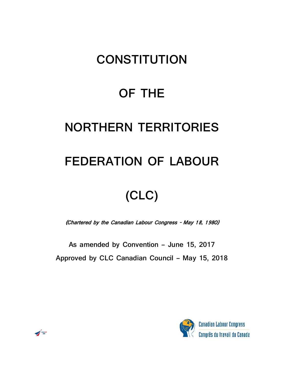## **CONSTITUTION**

### **OF THE**

### **NORTHERN TERRITORIES**

### **FEDERATION OF LABOUR**

# **(CLC)**

(Chartered by the Canadian Labour Congress - May 18, 1980)

**As amended by Convention – June 15, 2017**

**Approved by CLC Canadian Council – May 15, 2018**



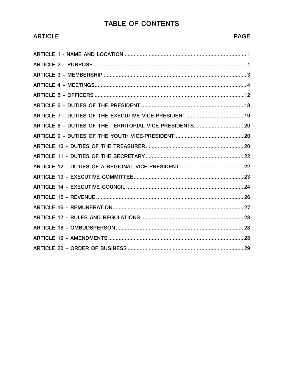### TABLE OF CONTENTS

**ARTICLE** 

**ARTICLE 1 -**

|  | <b>PAGE</b> |
|--|-------------|
|  |             |
|  |             |
|  |             |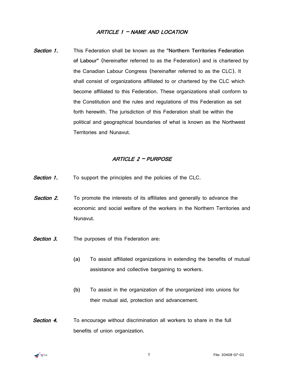#### ARTICLE 1 – NAME AND LOCATION

<span id="page-2-0"></span>Section 1. This Federation shall be known as the **"Northern Territories Federation of Labour"** (hereinafter referred to as the Federation) and is chartered by the Canadian Labour Congress (hereinafter referred to as the CLC). It shall consist of organizations affiliated to or chartered by the CLC which become affiliated to this Federation. These organizations shall conform to the Constitution and the rules and regulations of this Federation as set forth herewith. The jurisdiction of this Federation shall be within the political and geographical boundaries of what is known as the Northwest Territories and Nunavut.

#### ARTICLE 2 – PURPOSE

- <span id="page-2-1"></span>**Section 1.** To support the principles and the policies of the CLC.
- **Section 2.** To promote the interests of its affiliates and generally to advance the economic and social welfare of the workers in the Northern Territories and Nunavut.
- **Section 3.** The purposes of this Federation are:
	- **(a)** To assist affiliated organizations in extending the benefits of mutual assistance and collective bargaining to workers.
	- **(b)** To assist in the organization of the unorganized into unions for their mutual aid, protection and advancement.
- **Section 4.** To encourage without discrimination all workers to share in the full benefits of union organization.

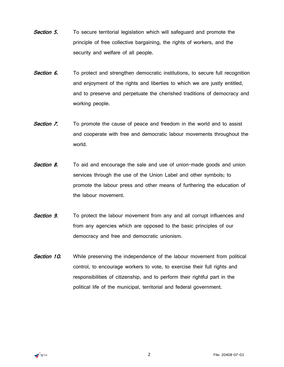- **Section 5.** To secure territorial legislation which will safeguard and promote the principle of free collective bargaining, the rights of workers, and the security and welfare of all people.
- **Section 6.** To protect and strengthen democratic institutions, to secure full recognition and enjoyment of the rights and liberties to which we are justly entitled, and to preserve and perpetuate the cherished traditions of democracy and working people.
- **Section 7.** To promote the cause of peace and freedom in the world and to assist and cooperate with free and democratic labour movements throughout the world.
- **Section 8.** To aid and encourage the sale and use of union-made goods and union services through the use of the Union Label and other symbols; to promote the labour press and other means of furthering the education of the labour movement.
- **Section 9.** To protect the labour movement from any and all corrupt influences and from any agencies which are opposed to the basic principles of our democracy and free and democratic unionism.
- <span id="page-3-0"></span>**Section 10.** While preserving the independence of the labour movement from political control, to encourage workers to vote, to exercise their full rights and responsibilities of citizenship, and to perform their rightful part in the political life of the municipal, territorial and federal government.

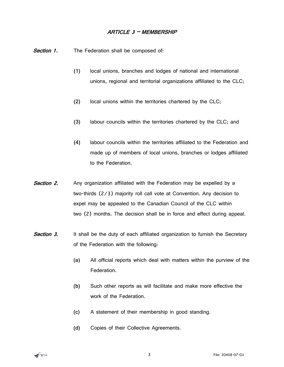#### ARTICLE 3 – MEMBERSHIP

Section 1. The Federation shall be composed of:

- **(1)** local unions, branches and lodges of national and international unions, regional and territorial organizations affiliated to the CLC;
- **(2)** local unions within the territories chartered by the CLC;
- **(3)** labour councils within the territories chartered by the CLC; and
- **(4)** labour councils within the territories affiliated to the Federation and made up of members of local unions, branches or lodges affiliated to the Federation.
- **Section 2.** Any organization affiliated with the Federation may be expelled by a two-thirds (2/3) majority roll call vote at Convention. Any decision to expel may be appealed to the Canadian Council of the CLC within two (2) months. The decision shall be in force and effect during appeal.
- **Section 3.** It shall be the duty of each affiliated organization to furnish the Secretary of the Federation with the following:
	- **(a)** All official reports which deal with matters within the purview of the Federation.
	- **(b)** Such other reports as will facilitate and make more effective the work of the Federation.
	- **(c)** A statement of their membership in good standing.
	- **(d)** Copies of their Collective Agreements.

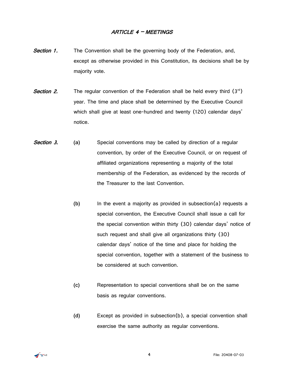#### ARTICLE 4 – MEETINGS

- <span id="page-5-0"></span>**Section 1.** The Convention shall be the governing body of the Federation, and, except as otherwise provided in this Constitution, its decisions shall be by majority vote.
- **Section 2.** The regular convention of the Federation shall be held every third  $(3<sup>rd</sup>)$ year. The time and place shall be determined by the Executive Council which shall give at least one-hundred and twenty (120) calendar days' notice.
- Section 3. **(a)** Special conventions may be called by direction of a regular convention, by order of the Executive Council, or on request of affiliated organizations representing a majority of the total membership of the Federation, as evidenced by the records of the Treasurer to the last Convention.
	- **(b)** In the event a majority as provided in subsection(a) requests a special convention, the Executive Council shall issue a call for the special convention within thirty (30) calendar days' notice of such request and shall give all organizations thirty (30) calendar days' notice of the time and place for holding the special convention, together with a statement of the business to be considered at such convention.
		- **(c)** Representation to special conventions shall be on the same basis as regular conventions.
		- **(d)** Except as provided in subsection(b), a special convention shall exercise the same authority as regular conventions.

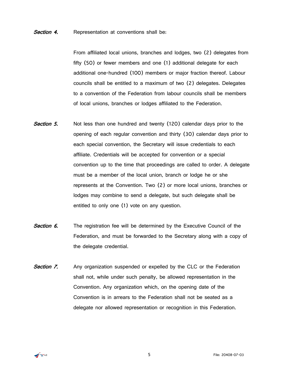#### **Section 4.** Representation at conventions shall be:

From affiliated local unions, branches and lodges, two (2) delegates from fifty (50) or fewer members and one (1) additional delegate for each additional one-hundred (100) members or major fraction thereof. Labour councils shall be entitled to a maximum of two (2) delegates. Delegates to a convention of the Federation from labour councils shall be members of local unions, branches or lodges affiliated to the Federation.

- **Section 5.** Not less than one hundred and twenty (120) calendar days prior to the opening of each regular convention and thirty (30) calendar days prior to each special convention, the Secretary will issue credentials to each affiliate. Credentials will be accepted for convention or a special convention up to the time that proceedings are called to order. A delegate must be a member of the local union, branch or lodge he or she represents at the Convention. Two (2) or more local unions, branches or lodges may combine to send a delegate, but such delegate shall be entitled to only one (1) vote on any question.
- Section 6. The registration fee will be determined by the Executive Council of the Federation, and must be forwarded to the Secretary along with a copy of the delegate credential.
- **Section 7.** Any organization suspended or expelled by the CLC or the Federation shall not, while under such penalty, be allowed representation in the Convention. Any organization which, on the opening date of the Convention is in arrears to the Federation shall not be seated as a delegate nor allowed representation or recognition in this Federation.

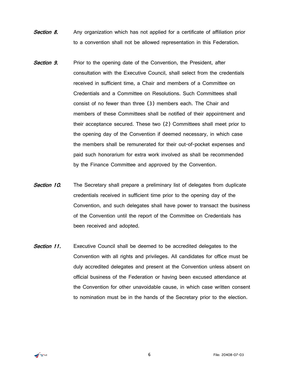- **Section 8.** Any organization which has not applied for a certificate of affiliation prior to a convention shall not be allowed representation in this Federation.
- **Section 9.** Prior to the opening date of the Convention, the President, after consultation with the Executive Council, shall select from the credentials received in sufficient time, a Chair and members of a Committee on Credentials and a Committee on Resolutions. Such Committees shall consist of no fewer than three (3) members each. The Chair and members of these Committees shall be notified of their appointment and their acceptance secured. These two (2) Committees shall meet prior to the opening day of the Convention if deemed necessary, in which case the members shall be remunerated for their out-of-pocket expenses and paid such honorarium for extra work involved as shall be recommended by the Finance Committee and approved by the Convention.
- **Section 10.** The Secretary shall prepare a preliminary list of delegates from duplicate credentials received in sufficient time prior to the opening day of the Convention, and such delegates shall have power to transact the business of the Convention until the report of the Committee on Credentials has been received and adopted.
- **Section 11.** Executive Council shall be deemed to be accredited delegates to the Convention with all rights and privileges. All candidates for office must be duly accredited delegates and present at the Convention unless absent on official business of the Federation or having been excused attendance at the Convention for other unavoidable cause, in which case written consent to nomination must be in the hands of the Secretary prior to the election.

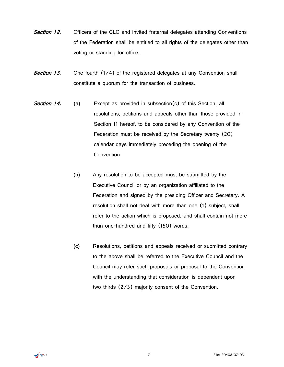- **Section 12.** Officers of the CLC and invited fraternal delegates attending Conventions of the Federation shall be entitled to all rights of the delegates other than voting or standing for office.
- **Section 13.** One-fourth (1/4) of the registered delegates at any Convention shall constitute a quorum for the transaction of business.
- **Section 14.** (a) Except as provided in subsection(c) of this Section, all resolutions, petitions and appeals other than those provided in Section 11 hereof, to be considered by any Convention of the Federation must be received by the Secretary twenty (20) calendar days immediately preceding the opening of the Convention.
	- **(b)** Any resolution to be accepted must be submitted by the Executive Council or by an organization affiliated to the Federation and signed by the presiding Officer and Secretary. A resolution shall not deal with more than one (1) subject, shall refer to the action which is proposed, and shall contain not more than one-hundred and fifty (150) words.
	- **(c)** Resolutions, petitions and appeals received or submitted contrary to the above shall be referred to the Executive Council and the Council may refer such proposals or proposal to the Convention with the understanding that consideration is dependent upon two-thirds (2/3) majority consent of the Convention.

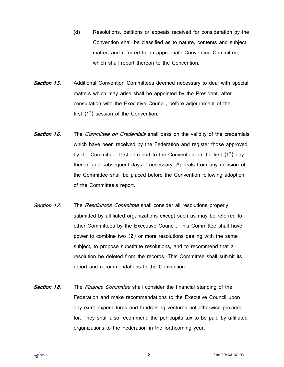- **(d)** Resolutions, petitions or appeals received for consideration by the Convention shall be classified as to nature, contents and subject matter, and referred to an appropriate Convention Committee, which shall report thereon to the Convention.
- **Section 15.** Additional Convention Committees deemed necessary to deal with special matters which may arise shall be appointed by the President, after consultation with the Executive Council, before adjournment of the first  $(1<sup>st</sup>)$  session of the Convention.
- **Section 16.** The *Committee on Credentials* shall pass on the validity of the credentials which have been received by the Federation and register those approved by the Committee. It shall report to the Convention on the first  $(1<sup>st</sup>)$  day thereof and subsequent days if necessary. Appeals from any decision of the Committee shall be placed before the Convention following adoption of the Committee's report.
- **Section 17.** The *Resolutions Committee* shall consider all resolutions properly submitted by affiliated organizations except such as may be referred to other Committees by the Executive Council. This Committee shall have power to combine two (2) or more resolutions dealing with the same subject, to propose substitute resolutions, and to recommend that a resolution be deleted from the records. This Committee shall submit its report and recommendations to the Convention.
- **Section 18.** The Finance Committee shall consider the financial standing of the Federation and make recommendations to the Executive Council upon any extra expenditures and fundraising ventures not otherwise provided for. They shall also recommend the per capita tax to be paid by affiliated organizations to the Federation in the forthcoming year.

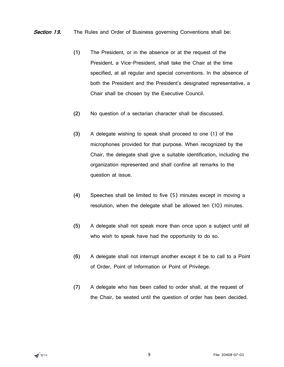#### **Section 19.** The Rules and Order of Business governing Conventions shall be:

- **(1)** The President, or in the absence or at the request of the President, a Vice-President, shall take the Chair at the time specified, at all regular and special conventions. In the absence of both the President and the President's designated representative, a Chair shall be chosen by the Executive Council.
- **(2)** No question of a sectarian character shall be discussed.
- **(3)** A delegate wishing to speak shall proceed to one (1) of the microphones provided for that purpose. When recognized by the Chair, the delegate shall give a suitable identification, including the organization represented and shall confine all remarks to the question at issue.
- **(4)** Speeches shall be limited to five (5) minutes except in moving a resolution, when the delegate shall be allowed ten (10) minutes.
- **(5)** A delegate shall not speak more than once upon a subject until all who wish to speak have had the opportunity to do so.
- **(6)** A delegate shall not interrupt another except it be to call to a Point of Order, Point of Information or Point of Privilege.
- **(7)** A delegate who has been called to order shall, at the request of the Chair, be seated until the question of order has been decided.

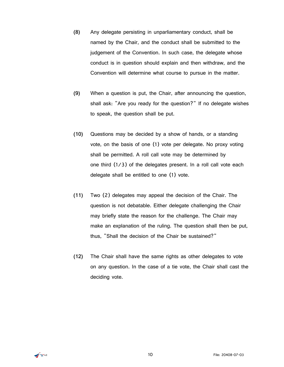- **(8)** Any delegate persisting in unparliamentary conduct, shall be named by the Chair, and the conduct shall be submitted to the judgement of the Convention. In such case, the delegate whose conduct is in question should explain and then withdraw, and the Convention will determine what course to pursue in the matter.
- **(9)** When a question is put, the Chair, after announcing the question, shall ask: "Are you ready for the question?" If no delegate wishes to speak, the question shall be put.
- **(10)** Questions may be decided by a show of hands, or a standing vote, on the basis of one (1) vote per delegate. No proxy voting shall be permitted. A roll call vote may be determined by one third (1/3) of the delegates present. In a roll call vote each delegate shall be entitled to one (1) vote.
- **(11)** Two (2) delegates may appeal the decision of the Chair. The question is not debatable. Either delegate challenging the Chair may briefly state the reason for the challenge. The Chair may make an explanation of the ruling. The question shall then be put, thus, "Shall the decision of the Chair be sustained?"
- **(12)** The Chair shall have the same rights as other delegates to vote on any question. In the case of a tie vote, the Chair shall cast the deciding vote.

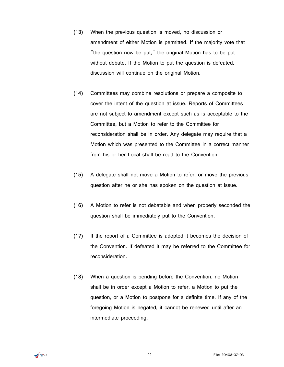- **(13)** When the previous question is moved, no discussion or amendment of either Motion is permitted. If the majority vote that "the question now be put," the original Motion has to be put without debate. If the Motion to put the question is defeated, discussion will continue on the original Motion.
- **(14)** Committees may combine resolutions or prepare a composite to cover the intent of the question at issue. Reports of Committees are not subject to amendment except such as is acceptable to the Committee, but a Motion to refer to the Committee for reconsideration shall be in order. Any delegate may require that a Motion which was presented to the Committee in a correct manner from his or her Local shall be read to the Convention.
- **(15)** A delegate shall not move a Motion to refer, or move the previous question after he or she has spoken on the question at issue.
- **(16)** A Motion to refer is not debatable and when properly seconded the question shall be immediately put to the Convention.
- **(17)** If the report of a Committee is adopted it becomes the decision of the Convention. If defeated it may be referred to the Committee for reconsideration.
- **(18)** When a question is pending before the Convention, no Motion shall be in order except a Motion to refer, a Motion to put the question, or a Motion to postpone for a definite time. If any of the foregoing Motion is negated, it cannot be renewed until after an intermediate proceeding.

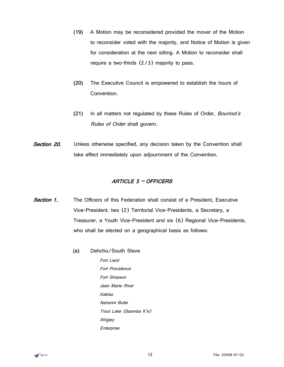- **(19)** A Motion may be reconsidered provided the mover of the Motion to reconsider voted with the majority, and Notice of Motion is given for consideration at the next sitting. A Motion to reconsider shall require a two-thirds (2/3) majority to pass.
- **(20)** The Executive Council is empowered to establish the hours of Convention.
- **(21)** In all matters not regulated by these Rules of Order, Bourinot's Rules of Order shall govern.
- <span id="page-13-0"></span>**Section 20.** Unless otherwise specified, any decision taken by the Convention shall take effect immediately upon adjournment of the Convention.

#### ARTICLE 5 – OFFICERS

- **Section 1.** The Officers of this Federation shall consist of a President. Executive Vice-President, two (2) Territorial Vice-Presidents, a Secretary, a Treasurer, a Youth Vice-President and six (6) Regional Vice-Presidents, who shall be elected on a geographical basis as follows:
	- **(a)** Dehcho/South Slave Fort Liard Fort Providence
		- Fort Simpson Jean Marie River Kakisa Nahanni Butte Trout Lake (Saamba K'e) **Wrigley** Enterprise

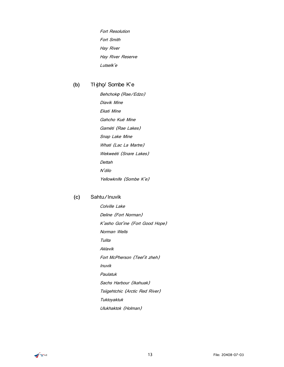Fort Resolution Fort Smith Hay River Hay River Reserve Lutselk'e

#### **(b)** Tł įchǫ/ Sombe K'e

Behchok**ǫ** (Rae/Edzo) Diavik Mine Ekati Mine Gahcho Kuè Mine Gamèti (Rae Lakes) Snap Lake Mine Whati (Lac La Martre) Wekweèti (Snare Lakes) Dettah N'dilo Yellowknife (Sombe K'e)

#### **(c)** Sahtu/Inuvik

Colville Lake Deline (Fort Norman) K'asho Got'ine (Fort Good Hope) Norman Wells Tulita Aklavik Fort McPherson (Teel'it zheh) Inuvik Paulatuk Sachs Harbour (Ikahuak) Tsiigehtchic (Arctic Red River) Tuktoyaktuk Ulukhaktok (Holman)

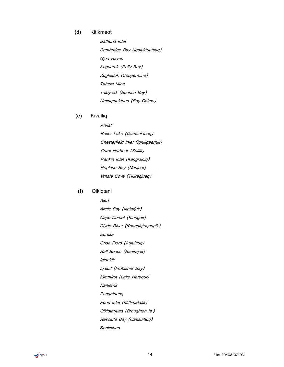#### **(d)** Kitikmeot

Bathurst Inlet Cambridge Bay (Iqaluktuuttiaq) Gjoa Haven Kugaaruk (Pelly Bay) Kugluktuk (Coppermine) Tahera Mine Taloyoak (Spence Bay) Umingmaktuuq (Bay Chimo)

#### **(e)** Kivalliq

Arviat Baker Lake (Qamani'tuaq) Chesterfield Inlet (Igluligaarjuk) Coral Harbour (Salliit) Rankin Inlet (Kangiqiniq) Repluse Bay (Naujaat) Whale Cove (Tikiraqjuaq)

#### **(f)** Qikiqtani

Alert Arctic Bay (Ikpiarjuk) Cape Dorset (Kinngait) Clyde River (Kanngiqtugaapik) Eureka Grise Fiord (Aujuittuq) Hall Beach (Sanirajak) Iglookik Iqaluit (Frobisher Bay) Kimmirut (Lake Harbour) Nanisivik **Pangnirtung** Pond Inlet (Mittimatalik) Qikiqtarjuaq (Broughton Is.) Resolute Bay (Qausuittuq) Sanikiluaq

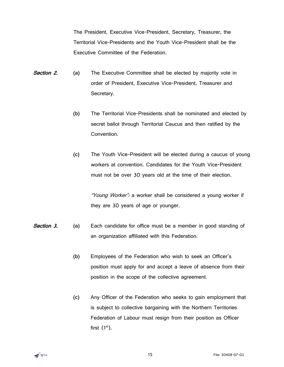The President, Executive Vice-President, Secretary, Treasurer, the Territorial Vice-Presidents and the Youth Vice-President shall be the Executive Committee of the Federation.

- **Section 2.** (a) The Executive Committee shall be elected by majority vote in order of President, Executive Vice-President, Treasurer and Secretary.
	- **(b)** The Territorial Vice-Presidents shall be nominated and elected by secret ballot through Territorial Caucus and then ratified by the Convention.
	- **(c)** The Youth Vice-President will be elected during a caucus of young workers at convention. Candidates for the Youth Vice-President must not be over 30 years old at the time of their election.

"Young Worker": a worker shall be considered a young worker if they are 30 years of age or younger.

- Section 3. **(a)** Each candidate for office must be a member in good standing of an organization affiliated with this Federation.
	- **(b)** Employees of the Federation who wish to seek an Officer's position must apply for and accept a leave of absence from their position in the scope of the collective agreement.
	- **(c)** Any Officer of the Federation who seeks to gain employment that is subject to collective bargaining with the Northern Territories Federation of Labour must resign from their position as Officer first  $(1<sup>st</sup>)$ .

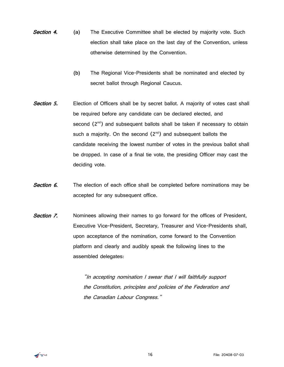- **Section 4.** (a) The Executive Committee shall be elected by majority vote. Such election shall take place on the last day of the Convention, unless otherwise determined by the Convention.
	- **(b)** The Regional Vice-Presidents shall be nominated and elected by secret ballot through Regional Caucus.
- Section 5. Election of Officers shall be by secret ballot. A majority of votes cast shall be required before any candidate can be declared elected, and second  $(2<sup>nd</sup>)$  and subsequent ballots shall be taken if necessary to obtain such a majority. On the second  $(2^{nd})$  and subsequent ballots the candidate receiving the lowest number of votes in the previous ballot shall be dropped. In case of a final tie vote, the presiding Officer may cast the deciding vote.
- Section 6. The election of each office shall be completed before nominations may be accepted for any subsequent office.
- Section 7. Nominees allowing their names to go forward for the offices of President, Executive Vice-President, Secretary, Treasurer and Vice-Presidents shall, upon acceptance of the nomination, come forward to the Convention platform and clearly and audibly speak the following lines to the assembled delegates:

"In accepting nomination I swear that I will faithfully support the Constitution, principles and policies of the Federation and the Canadian Labour Congress."

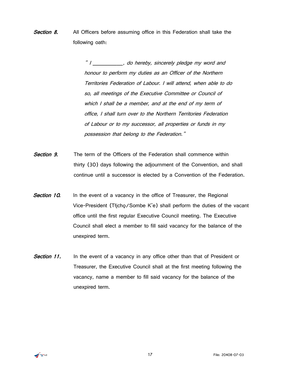**Section 8.** All Officers before assuming office in this Federation shall take the following oath:

> " I compared and the sincerely pledge my word and honour to perform my duties as an Officer of the Northern Territories Federation of Labour. I will attend, when able to do so, all meetings of the Executive Committee or Council of which I shall be a member, and at the end of my term of office, I shall turn over to the Northern Territories Federation of Labour or to my successor, all properties or funds in my possession that belong to the Federation."

- **Section 9.** The term of the Officers of the Federation shall commence within thirty (30) days following the adjournment of the Convention, and shall continue until a successor is elected by a Convention of the Federation.
- Section 10. In the event of a vacancy in the office of Treasurer, the Regional Vice-President (Tłįchǫ/Sombe K'e) shall perform the duties of the vacant office until the first regular Executive Council meeting. The Executive Council shall elect a member to fill said vacancy for the balance of the unexpired term.
- **Section 11.** In the event of a vacancy in any office other than that of President or Treasurer, the Executive Council shall at the first meeting following the vacancy, name a member to fill said vacancy for the balance of the unexpired term.

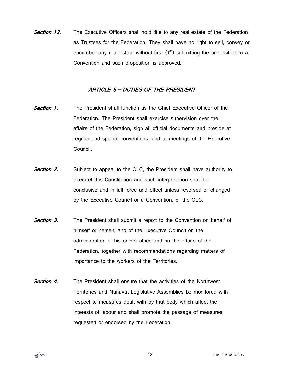**Section 12.** The Executive Officers shall hold title to any real estate of the Federation as Trustees for the Federation. They shall have no right to sell, convey or encumber any real estate without first  $(1<sup>st</sup>)$  submitting the proposition to a Convention and such proposition is approved.

#### ARTICLE 6 – DUTIES OF THE PRESIDENT

- <span id="page-19-0"></span>**Section 1.** The President shall function as the Chief Executive Officer of the Federation. The President shall exercise supervision over the affairs of the Federation, sign all official documents and preside at regular and special conventions, and at meetings of the Executive Council.
- **Section 2.** Subject to appeal to the CLC, the President shall have authority to interpret this Constitution and such interpretation shall be conclusive and in full force and effect unless reversed or changed by the Executive Council or a Convention, or the CLC.
- **Section 3.** The President shall submit a report to the Convention on behalf of himself or herself, and of the Executive Council on the administration of his or her office and on the affairs of the Federation, together with recommendations regarding matters of importance to the workers of the Territories.
- **Section 4.** The President shall ensure that the activities of the Northwest Territories and Nunavut Legislative Assemblies be monitored with respect to measures dealt with by that body which affect the interests of labour and shall promote the passage of measures requested or endorsed by the Federation.

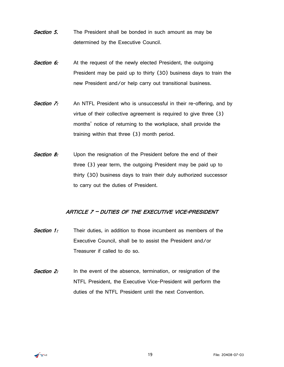- **Section 5.** The President shall be bonded in such amount as may be determined by the Executive Council.
- **Section 6:** At the request of the newly elected President, the outgoing President may be paid up to thirty (30) business days to train the new President and/or help carry out transitional business.
- **Section 7:** An NTFL President who is unsuccessful in their re-offering, and by virtue of their collective agreement is required to give three (3) months' notice of returning to the workplace, shall provide the training within that three (3) month period.
- **Section 8:** Upon the resignation of the President before the end of their three (3) year term, the outgoing President may be paid up to thirty (30) business days to train their duly authorized successor to carry out the duties of President.

#### <span id="page-20-0"></span>ARTICLE 7 – DUTIES OF THE EXECUTIVE VICE-PRESIDENT

- **Section 1:** Their duties, in addition to those incumbent as members of the Executive Council, shall be to assist the President and/or Treasurer if called to do so.
- <span id="page-20-1"></span>**Section 2:** In the event of the absence, termination, or resignation of the NTFL President, the Executive Vice-President will perform the duties of the NTFL President until the next Convention.

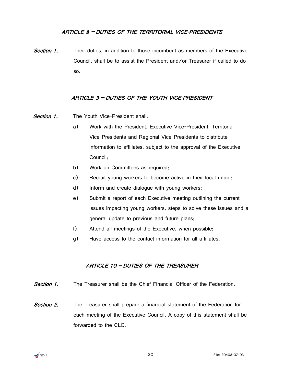#### ARTICLE 8 – DUTIES OF THE TERRITORIAL VICE-PRESIDENTS

<span id="page-21-0"></span>**Section 1.** Their duties, in addition to those incumbent as members of the Executive Council, shall be to assist the President and/or Treasurer if called to do so.

#### ARTICLE 9 – DUTIES OF THE YOUTH VICE-PRESIDENT

- **Section 1.** The Youth Vice-President shall:
	- a) Work with the President, Executive Vice-President, Territorial Vice-Presidents and Regional Vice-Presidents to distribute information to affiliates, subject to the approval of the Executive Council;
	- b) Work on Committees as required;
	- c) Recruit young workers to become active in their local union;
	- d) Inform and create dialogue with young workers;
	- e) Submit a report of each Executive meeting outlining the current issues impacting young workers, steps to solve these issues and a general update to previous and future plans;
	- f) Attend all meetings of the Executive, when possible;
	- g) Have access to the contact information for all affiliates.

#### ARTICLE 10 – DUTIES OF THE TREASURER

- <span id="page-21-1"></span>**Section 1.** The Treasurer shall be the Chief Financial Officer of the Federation.
- **Section 2.** The Treasurer shall prepare a financial statement of the Federation for each meeting of the Executive Council. A copy of this statement shall be forwarded to the CLC.

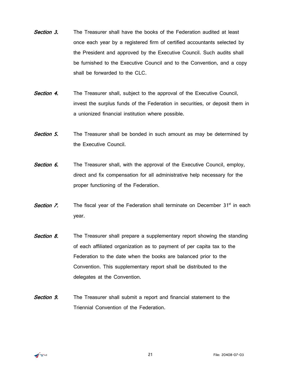- Section 3. The Treasurer shall have the books of the Federation audited at least once each year by a registered firm of certified accountants selected by the President and approved by the Executive Council. Such audits shall be furnished to the Executive Council and to the Convention, and a copy shall be forwarded to the CLC.
- Section 4. The Treasurer shall, subject to the approval of the Executive Council, invest the surplus funds of the Federation in securities, or deposit them in a unionized financial institution where possible.
- **Section 5.** The Treasurer shall be bonded in such amount as may be determined by the Executive Council.
- Section 6. The Treasurer shall, with the approval of the Executive Council, employ, direct and fix compensation for all administrative help necessary for the proper functioning of the Federation.
- **Section 7.** The fiscal year of the Federation shall terminate on December 31<sup>st</sup> in each year.
- **Section 8.** The Treasurer shall prepare a supplementary report showing the standing of each affiliated organization as to payment of per capita tax to the Federation to the date when the books are balanced prior to the Convention. This supplementary report shall be distributed to the delegates at the Convention.
- **Section 9.** The Treasurer shall submit a report and financial statement to the Triennial Convention of the Federation.

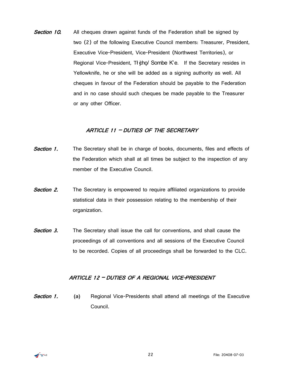Section 10. All cheques drawn against funds of the Federation shall be signed by two (2) of the following Executive Council members: Treasurer, President, Executive Vice-President, Vice-President (Northwest Territories), or Regional Vice-President,  $T\frac{1}{2}$ cho/ Sombe K'e. If the Secretary resides in Yellowknife, he or she will be added as a signing authority as well. All cheques in favour of the Federation should be payable to the Federation and in no case should such cheques be made payable to the Treasurer or any other Officer.

#### ARTICLE 11 - DUTIES OF THE SECRETARY

- <span id="page-23-0"></span>**Section 1.** The Secretary shall be in charge of books, documents, files and effects of the Federation which shall at all times be subject to the inspection of any member of the Executive Council.
- **Section 2.** The Secretary is empowered to require affiliated organizations to provide statistical data in their possession relating to the membership of their organization.
- <span id="page-23-1"></span>**Section 3.** The Secretary shall issue the call for conventions, and shall cause the proceedings of all conventions and all sessions of the Executive Council to be recorded. Copies of all proceedings shall be forwarded to the CLC.

#### ARTICLE 12 – DUTIES OF A REGIONAL VICE-PRESIDENT

**Section 1.** (a) Regional Vice-Presidents shall attend all meetings of the Executive Council.

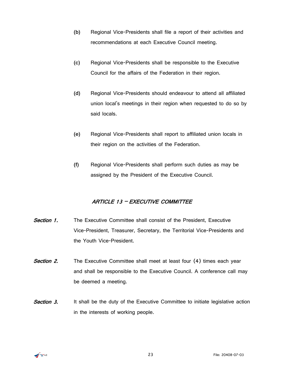- **(b)** Regional Vice-Presidents shall file a report of their activities and recommendations at each Executive Council meeting.
- **(c)** Regional Vice-Presidents shall be responsible to the Executive Council for the affairs of the Federation in their region.
- **(d)** Regional Vice-Presidents should endeavour to attend all affiliated union local's meetings in their region when requested to do so by said locals.
- **(e)** Regional Vice-Presidents shall report to affiliated union locals in their region on the activities of the Federation.
- **(f)** Regional Vice-Presidents shall perform such duties as may be assigned by the President of the Executive Council.

#### ARTICLE 13 – EXECUTIVE COMMITTEE

- <span id="page-24-0"></span>**Section 1.** The Executive Committee shall consist of the President, Executive Vice-President, Treasurer, Secretary, the Territorial Vice-Presidents and the Youth Vice-President.
- **Section 2.** The Executive Committee shall meet at least four (4) times each year and shall be responsible to the Executive Council. A conference call may be deemed a meeting.
- **Section 3.** It shall be the duty of the Executive Committee to initiate legislative action in the interests of working people.

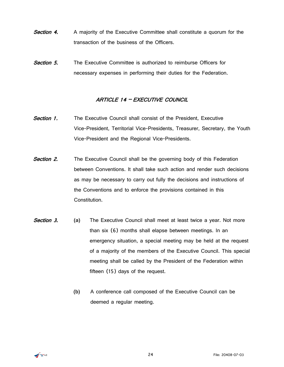- **Section 4.** A majority of the Executive Committee shall constitute a quorum for the transaction of the business of the Officers.
- <span id="page-25-0"></span>Section 5. The Executive Committee is authorized to reimburse Officers for necessary expenses in performing their duties for the Federation.

#### ARTICLE 14 – EXECUTIVE COUNCIL

- **Section 1.** The Executive Council shall consist of the President, Executive Vice-President, Territorial Vice-Presidents, Treasurer, Secretary, the Youth Vice-President and the Regional Vice-Presidents.
- **Section 2.** The Executive Council shall be the governing body of this Federation between Conventions. It shall take such action and render such decisions as may be necessary to carry out fully the decisions and instructions of the Conventions and to enforce the provisions contained in this Constitution.
- **Section 3. (a)** The Executive Council shall meet at least twice a year. Not more than six (6) months shall elapse between meetings. In an emergency situation, a special meeting may be held at the request of a majority of the members of the Executive Council. This special meeting shall be called by the President of the Federation within fifteen (15) days of the request.
	- **(b)** A conference call composed of the Executive Council can be deemed a regular meeting.

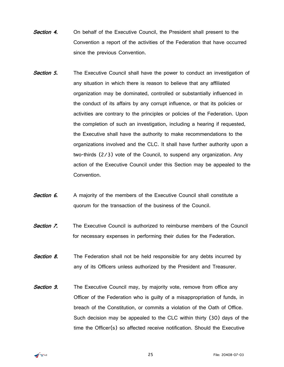- **Section 4.** On behalf of the Executive Council, the President shall present to the Convention a report of the activities of the Federation that have occurred since the previous Convention.
- **Section 5.** The Executive Council shall have the power to conduct an investigation of any situation in which there is reason to believe that any affiliated organization may be dominated, controlled or substantially influenced in the conduct of its affairs by any corrupt influence, or that its policies or activities are contrary to the principles or policies of the Federation. Upon the completion of such an investigation, including a hearing if requested, the Executive shall have the authority to make recommendations to the organizations involved and the CLC. It shall have further authority upon a two-thirds (2/3) vote of the Council, to suspend any organization. Any action of the Executive Council under this Section may be appealed to the Convention.
- **Section 6.** A majority of the members of the Executive Council shall constitute a quorum for the transaction of the business of the Council.
- **Section 7.** The Executive Council is authorized to reimburse members of the Council for necessary expenses in performing their duties for the Federation.
- **Section 8.** The Federation shall not be held responsible for any debts incurred by any of its Officers unless authorized by the President and Treasurer.
- **Section 9.** The Executive Council may, by majority vote, remove from office any Officer of the Federation who is guilty of a misappropriation of funds, in breach of the Constitution, or commits a violation of the Oath of Office. Such decision may be appealed to the CLC within thirty (30) days of the time the Officer(s) so affected receive notification. Should the Executive

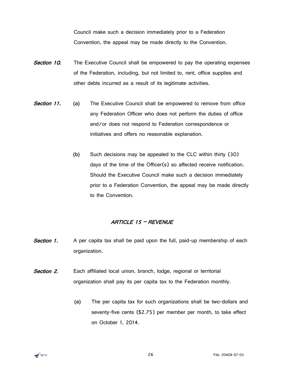Council make such a decision immediately prior to a Federation Convention, the appeal may be made directly to the Convention.

- **Section 10.** The Executive Council shall be empowered to pay the operating expenses of the Federation, including, but not limited to, rent, office supplies and other debts incurred as a result of its legitimate activities.
- **Section 11.** (a) The Executive Council shall be empowered to remove from office any Federation Officer who does not perform the duties of office and/or does not respond to Federation correspondence or initiatives and offers no reasonable explanation.
	- **(b)** Such decisions may be appealed to the CLC within thirty (30) days of the time of the Officer(s) so affected receive notification. Should the Executive Council make such a decision immediately prior to a Federation Convention, the appeal may be made directly to the Convention.

#### ARTICLE 15 – REVENUE

- <span id="page-27-0"></span>**Section 1.** A per capita tax shall be paid upon the full, paid-up membership of each organization.
- **Section 2.** Each affiliated local union, branch, lodge, regional or territorial organization shall pay its per capita tax to the Federation monthly.
	- **(a)** The per capita tax for such organizations shall be two-dollars and seventy-five cents (\$2.75) per member per month, to take effect on October 1, 2014.

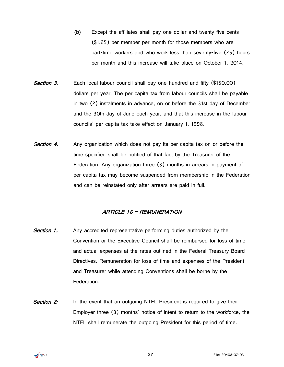- **(b)** Except the affiliates shall pay one dollar and twenty-five cents (\$1.25) per member per month for those members who are part-time workers and who work less than seventy-five (75) hours per month and this increase will take place on October 1, 2014.
- Section 3. Each local labour council shall pay one-hundred and fifty (\$150.00) dollars per year. The per capita tax from labour councils shall be payable in two (2) instalments in advance, on or before the 31st day of December and the 30th day of June each year, and that this increase in the labour councils' per capita tax take effect on January 1, 1998.
- **Section 4.** Any organization which does not pay its per capita tax on or before the time specified shall be notified of that fact by the Treasurer of the Federation. Any organization three (3) months in arrears in payment of per capita tax may become suspended from membership in the Federation and can be reinstated only after arrears are paid in full.

#### ARTICLE 16 – REMUNERATION

- <span id="page-28-0"></span>**Section 1.** Any accredited representative performing duties authorized by the Convention or the Executive Council shall be reimbursed for loss of time and actual expenses at the rates outlined in the Federal Treasury Board Directives. Remuneration for loss of time and expenses of the President and Treasurer while attending Conventions shall be borne by the Federation.
- **Section 2:** In the event that an outgoing NTFL President is required to give their Employer three (3) months' notice of intent to return to the workforce, the NTFL shall remunerate the outgoing President for this period of time.

<span id="page-28-1"></span>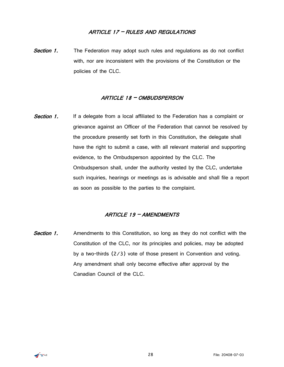#### ARTICLE 17 – RULES AND REGULATIONS

<span id="page-29-0"></span>**Section 1.** The Federation may adopt such rules and regulations as do not conflict with, nor are inconsistent with the provisions of the Constitution or the policies of the CLC.

#### ARTICLE 18 – OMBUDSPERSON

**Section 1.** If a delegate from a local affiliated to the Federation has a complaint or grievance against an Officer of the Federation that cannot be resolved by the procedure presently set forth in this Constitution, the delegate shall have the right to submit a case, with all relevant material and supporting evidence, to the Ombudsperson appointed by the CLC. The Ombudsperson shall, under the authority vested by the CLC, undertake such inquiries, hearings or meetings as is advisable and shall file a report as soon as possible to the parties to the complaint.

#### ARTICLE 19 – AMENDMENTS

<span id="page-29-2"></span><span id="page-29-1"></span>**Section 1.** Amendments to this Constitution, so long as they do not conflict with the Constitution of the CLC, nor its principles and policies, may be adopted by a two-thirds (2/3) vote of those present in Convention and voting. Any amendment shall only become effective after approval by the Canadian Council of the CLC.